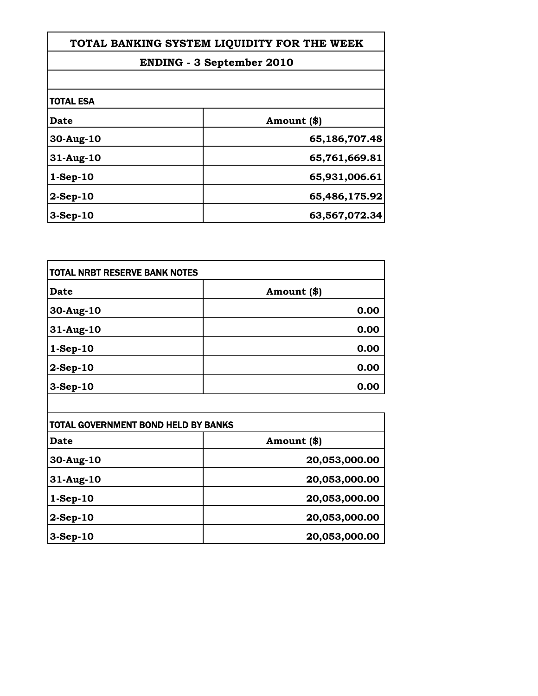| TOTAL BANKING SYSTEM LIQUIDITY FOR THE WEEK |               |
|---------------------------------------------|---------------|
| <b>ENDING - 3 September 2010</b>            |               |
|                                             |               |
| Date                                        | Amount (\$)   |
| 30-Aug-10                                   | 65,186,707.48 |
| $31$ -Aug-10                                | 65,761,669.81 |
| $1-Sep-10$                                  | 65,931,006.61 |
| $2-Sep-10$                                  | 65,486,175.92 |
| $3-Sep-10$                                  | 63,567,072.34 |
|                                             |               |

Г

| <b>TOTAL NRBT RESERVE BANK NOTES</b> |             |
|--------------------------------------|-------------|
| Date                                 | Amount (\$) |
| 30-Aug-10                            | 0.00        |
| 31-Aug-10                            | 0.00        |
| $1-Sep-10$                           | 0.00        |
| 2-Sep-10                             | 0.00        |
| 3-Sep-10                             | 0.00        |

| <b>TOTAL GOVERNMENT BOND HELD BY BANKS</b> |               |
|--------------------------------------------|---------------|
| Date                                       | Amount (\$)   |
| 30-Aug-10                                  | 20,053,000.00 |
| $31$ -Aug-10                               | 20,053,000.00 |
| $1-Sep-10$                                 | 20,053,000.00 |
| $2-Sep-10$                                 | 20,053,000.00 |
| $3-Sep-10$                                 | 20,053,000.00 |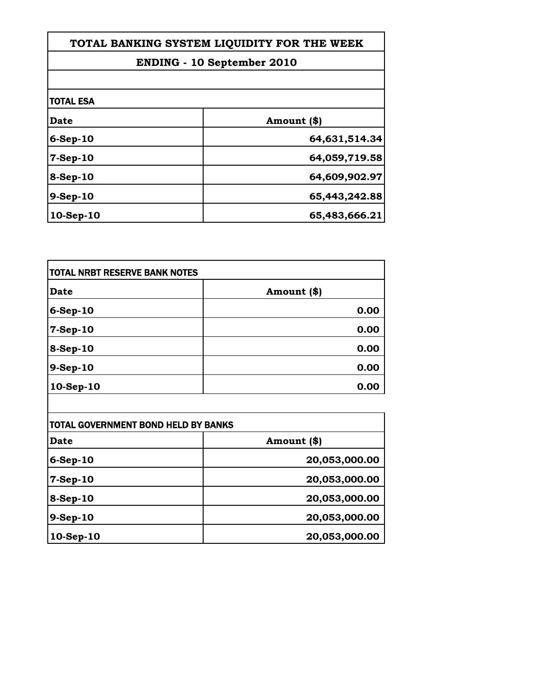| TOTAL BANKING SYSTEM LIQUIDITY FOR THE WEEK<br><b>ENDING - 10 September 2010</b> |               |
|----------------------------------------------------------------------------------|---------------|
|                                                                                  |               |
| <b>TOTAL ESA</b>                                                                 |               |
| <b>Date</b>                                                                      | Amount (\$)   |
| $6-Sep-10$                                                                       | 64,631,514.34 |
| $7-Sep-10$                                                                       | 64,059,719.58 |
| $8-Sep-10$                                                                       | 64,609,902.97 |
| 9-Sep-10                                                                         | 65,443,242.88 |
| 10-Sep-10                                                                        | 65,483,666.21 |
|                                                                                  |               |

| <b>TOTAL NRBT RESERVE BANK NOTES</b> |             |
|--------------------------------------|-------------|
| <b>Date</b>                          | Amount (\$) |
| 6-Sep-10                             | 0.00        |
| 7-Sep-10                             | 0.00        |
| 8-Sep-10                             | 0.00        |
| 9-Sep-10                             | 0.00        |
| 10-Sep-10                            | 0.00        |

| TOTAL GOVERNMENT BOND HELD BY BANKS |               |
|-------------------------------------|---------------|
| Date                                | Amount (\$)   |
| $6-Sep-10$                          | 20,053,000.00 |
| $7-Sep-10$                          | 20,053,000.00 |
| 8-Sep-10                            | 20,053,000.00 |
| $9-Sep-10$                          | 20,053,000.00 |
| 10-Sep-10                           | 20,053,000.00 |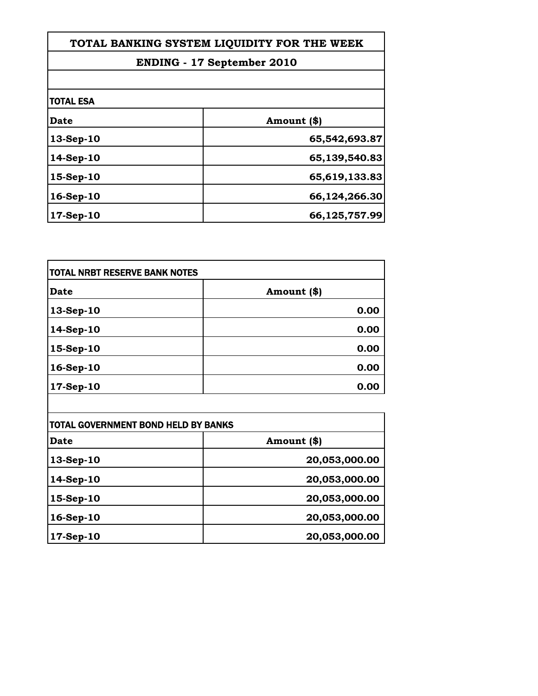| TOTAL BANKING SYSTEM LIQUIDITY FOR THE WEEK<br><b>ENDING - 17 September 2010</b> |               |
|----------------------------------------------------------------------------------|---------------|
|                                                                                  |               |
| <b>TOTAL ESA</b>                                                                 |               |
| Date                                                                             | Amount (\$)   |
| 13-Sep-10                                                                        | 65,542,693.87 |
| 14-Sep-10                                                                        | 65,139,540.83 |
| 15-Sep-10                                                                        | 65,619,133.83 |
| 16-Sep-10                                                                        | 66,124,266.30 |
| 17-Sep-10                                                                        | 66,125,757.99 |
|                                                                                  |               |

| <b>TOTAL NRBT RESERVE BANK NOTES</b> |             |
|--------------------------------------|-------------|
| <b>Date</b>                          | Amount (\$) |
| 13-Sep-10                            | 0.00        |
| 14-Sep-10                            | 0.00        |
| 15-Sep-10                            | 0.00        |
| 16-Sep-10                            | 0.00        |
| 17-Sep-10                            | 0.00        |

| TOTAL GOVERNMENT BOND HELD BY BANKS |               |
|-------------------------------------|---------------|
| Date                                | Amount (\$)   |
| 13-Sep-10                           | 20,053,000.00 |
| 14-Sep-10                           | 20,053,000.00 |
| 15-Sep-10                           | 20,053,000.00 |
| $16-Sep-10$                         | 20,053,000.00 |
| 17-Sep-10                           | 20,053,000.00 |